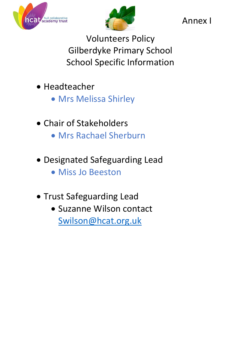



Annex I

Volunteers Policy Gilberdyke Primary School School Specific Information

- Headteacher
	- Mrs Melissa Shirley
- Chair of Stakeholders
	- Mrs Rachael Sherburn
- Designated Safeguarding Lead
	- Miss Jo Beeston
- Trust Safeguarding Lead
	- Suzanne Wilson contact [Swilson@hcat.org.uk](mailto:Swilson@hcat.org.uk)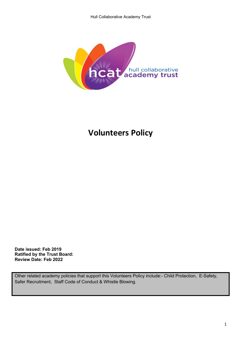

# **Volunteers Policy**

**Date issued: Feb 2019 Ratified by the Trust Board: Review Date: Feb 2022**

Other related academy policies that support this Volunteers Policy include:- Child Protection, E-Safety, Safer Recruitment, Staff Code of Conduct & Whistle Blowing.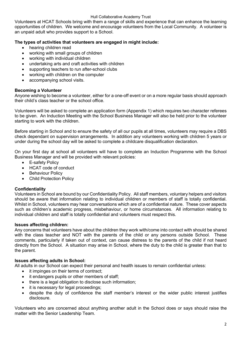#### Hull Collaborative Academy Trust

Volunteers at HCAT Schools bring with them a range of skills and experience that can enhance the learning opportunities of children. We welcome and encourage volunteers from the Local Community. A volunteer is an unpaid adult who provides support to a School.

# **The types of activities that volunteers are engaged in might include:**

- hearing children read
- working with small groups of children
- working with individual children
- undertaking arts and craft activities with children
- supporting teachers to run after-school clubs
- working with children on the computer
- accompanying school visits.

# **Becoming a Volunteer**

Anyone wishing to become a volunteer, either for a one-off event or on a more regular basis should approach their child's class teacher or the school office.

Volunteers will be asked to complete an application form (Appendix 1) which requires two character referees to be given. An Induction Meeting with the School Business Manager will also be held prior to the volunteer starting to work with the children.

Before starting in School and to ensure the safety of all our pupils at all times, volunteers may require a DBS check dependant on supervision arrangements. In addition any volunteers working with children 5 years or under during the school day will be asked to complete a childcare disqualification declaration.

On your first day at school all volunteers will have to complete an Induction Programme with the School Business Manager and will be provided with relevant policies:

- E-safety Policy
- HCAT code of conduct
- Behaviour Policy
- Child Protection Policy

# **Confidentiality**

Volunteers in School are bound by our Confidentiality Policy. All staff members, voluntary helpers and visitors should be aware that information relating to individual children or members of staff is totally confidential. Whilst in School, volunteers may hear conversations which are of a confidential nature. These cover aspects such as children's academic progress, misbehaviour, or home circumstances. All information relating to individual children and staff is totally confidential and volunteers must respect this.

#### **Issues affecting children:**

Any concerns that volunteers have about the children they work with/come into contact with should be shared with the class teacher and NOT with the parents of the child or any persons outside School. These comments, particularly if taken out of context, can cause distress to the parents of the child if not heard directly from the School. A situation may arise in School, where the duty to the child is greater than that to the parent.

# **Issues affecting adults in School:**

All adults in our School can expect their personal and health issues to remain confidential unless:

- it impinges on their terms of contract;
- it endangers pupils or other members of staff;
- there is a legal obligation to disclose such information;
- it is necessary for legal proceedings;
- despite the duty of confidence the staff member's interest or the wider public interest justifies disclosure.

Volunteers who are concerned about anything another adult in the School does or says should raise the matter with the Senior Leadership Team.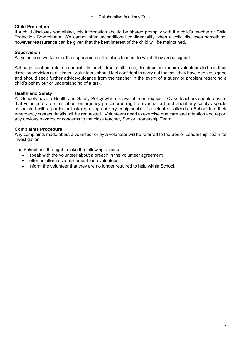#### **Child Protection**

If a child discloses something, this information should be shared promptly with the child's teacher or Child Protection Co-ordinator. We cannot offer unconditional confidentiality when a child discloses something; however reassurance can be given that the best interest of the child will be maintained.

#### **Supervision**

All volunteers work under the supervision of the class teacher to which they are assigned.

Although teachers retain responsibility for children at all times, this does not require volunteers to be in their direct supervision at all times. Volunteers should feel confident to carry out the task they have been assigned and should seek further advice/guidance from the teacher in the event of a query or problem regarding a child's behaviour or understanding of a task.

#### **Health and Safety**

All Schools have a Health and Safety Policy which is available on request. Class teachers should ensure that volunteers are clear about emergency procedures (eg fire evacuation) and about any safety aspects associated with a particular task (eg using cookery equipment). If a volunteer attends a School trip, their emergency contact details will be requested. Volunteers need to exercise due care and attention and report any obvious hazards or concerns to the class teacher, Senior Leadership Team.

#### **Complaints Procedure**

Any complaints made about a volunteer or by a volunteer will be referred to the Senior Leadership Team for investigation.

The School has the right to take the following actions:

- speak with the volunteer about a breach in the volunteer agreement:
- offer an alternative placement for a volunteer;
- inform the volunteer that they are no longer required to help within School.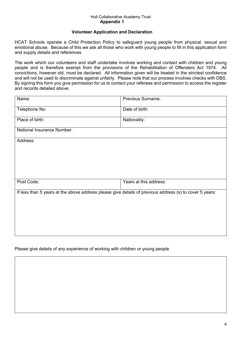#### Hull Collaborative Academy Trust **Appendix 1**

#### **Volunteer Application and Declaration**

HCAT Schools operate a Child Protection Policy to safeguard young people from physical, sexual and emotional abuse. Because of this we ask all those who work with young people to fill in this application form and supply details and references

The work which our volunteers and staff undertake involves working and contact with children and young people and is therefore exempt from the provisions of the Rehabilitation of Offenders Act 1974. All convictions, however old, must be declared. All information given will be treated in the strictest confidence and will not be used to discriminate against unfairly. Please note that our process involves checks with DBS. By signing this form you give permission for us to contact your referees and permission to access the register and records detailed above.

| Name:                                                                                                   | Previous Surname:      |  |
|---------------------------------------------------------------------------------------------------------|------------------------|--|
| Telephone No:                                                                                           | Date of birth:         |  |
| Place of birth:                                                                                         | Nationality:           |  |
| National Insurance Number:                                                                              |                        |  |
| Address:                                                                                                |                        |  |
|                                                                                                         |                        |  |
|                                                                                                         |                        |  |
|                                                                                                         |                        |  |
| Post Code:                                                                                              | Years at this address: |  |
| If less than 5 years at the above address please give details of previous address (s) to cover 5 years: |                        |  |
|                                                                                                         |                        |  |
|                                                                                                         |                        |  |
|                                                                                                         |                        |  |
|                                                                                                         |                        |  |
|                                                                                                         |                        |  |

# Please give details of any experience of working with children or young people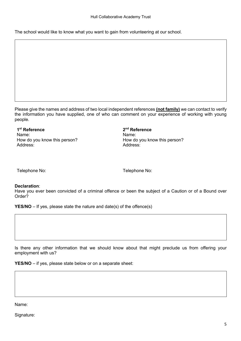The school would like to know what you want to gain from volunteering at our school.

Please give the names and address of two local independent references **(not family)** we can contact to verify the information you have supplied, one of who can comment on your experience of working with young people.

**1st Reference 2nd Reference** Name: Name: How do you know this person? How do you know this person? Address: Address:

Telephone No: Telephone No:

#### **Declaration**:

Have you ever been convicted of a criminal offence or been the subject of a Caution or of a Bound over Order?

**YES/NO** – If yes, please state the nature and date(s) of the offence(s)

Is there any other information that we should know about that might preclude us from offering your employment with us?

**YES/NO** – if yes, please state below or on a separate sheet:

Name:

Signature: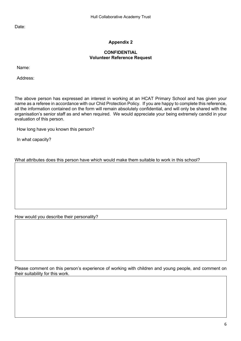Date:

# **Appendix 2**

#### **CONFIDENTIAL Volunteer Reference Request**

Name:

Address:

The above person has expressed an interest in working at an HCAT Primary School and has given your name as a referee in accordance with our Chid Protection Policy. If you are happy to complete this reference, all the information contained on the form will remain absolutely confidential, and will only be shared with the organisation's senior staff as and when required. We would appreciate your being extremely candid in your evaluation of this person.

How long have you known this person?

In what capacity?

What attributes does this person have which would make them suitable to work in this school?

How would you describe their personality?

Please comment on this person's experience of working with children and young people, and comment on their suitability for this work.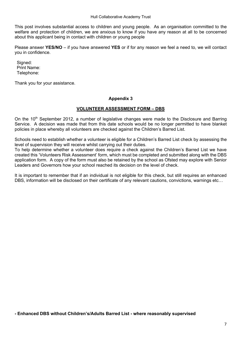This post involves substantial access to children and young people. As an organisation committed to the welfare and protection of children, we are anxious to know if you have any reason at all to be concerned about this applicant being in contact with children or young people

Please answer **YES/NO** – if you have answered **YES** or if for any reason we feel a need to, we will contact you in confidence.

Signed: Print Name: Telephone:

Thank you for your assistance.

#### **Appendix 3**

#### **VOLUNTEER ASSESSMENT FORM – DBS**

On the 10<sup>th</sup> September 2012, a number of legislative changes were made to the Disclosure and Barring Service. A decision was made that from this date schools would be no longer permitted to have blanket policies in place whereby all volunteers are checked against the Children's Barred List.

Schools need to establish whether a volunteer is eligible for a Children's Barred List check by assessing the level of supervision they will receive whilst carrying out their duties.

To help determine whether a volunteer does require a check against the Children's Barred List we have created this 'Volunteers Risk Assessment' form, which must be completed and submitted along with the DBS application form. A copy of the form must also be retained by the school as Ofsted may explore with Senior Leaders and Governors how your school reached its decision on the level of check.

It is important to remember that if an individual is not eligible for this check, but still requires an enhanced DBS, information will be disclosed on their certificate of any relevant cautions, convictions, warnings etc…